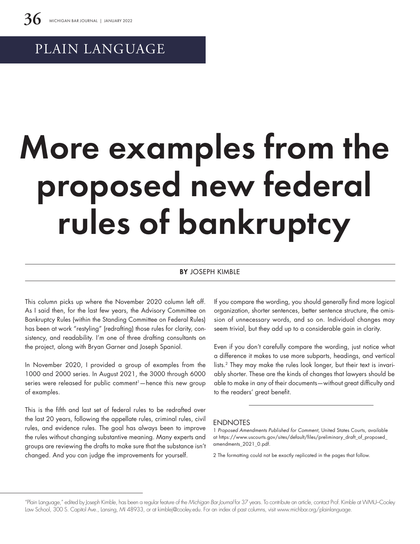## More examples from the proposed new federal rules of bankruptcy

## BY JOSEPH KIMBLE

This column picks up where the November 2020 column left off. As I said then, for the last few years, the Advisory Committee on Bankruptcy Rules (within the Standing Committee on Federal Rules) has been at work "restyling" (redrafting) those rules for clarity, consistency, and readability. I'm one of three drafting consultants on the project, along with Bryan Garner and Joseph Spaniol.

In November 2020, I provided a group of examples from the 1000 and 2000 series. In August 2021, the 3000 through 6000 series were released for public comment<sup>1</sup>—hence this new group of examples.

This is the fifth and last set of federal rules to be redrafted over the last 20 years, following the appellate rules, criminal rules, civil rules, and evidence rules. The goal has always been to improve the rules without changing substantive meaning. Many experts and groups are reviewing the drafts to make sure that the substance isn't changed. And you can judge the improvements for yourself.

If you compare the wording, you should generally find more logical organization, shorter sentences, better sentence structure, the omission of unnecessary words, and so on. Individual changes may seem trivial, but they add up to a considerable gain in clarity.

Even if you don't carefully compare the wording, just notice what a difference it makes to use more subparts, headings, and vertical lists.2 They may make the rules look longer, but their text is invariably shorter. These are the kinds of changes that lawyers should be able to make in any of their documents—without great difficulty and to the readers' great benefit.

## ENDNOTES

2 The formatting could not be exactly replicated in the pages that follow.

<sup>1</sup> *Proposed Amendments Published for Comment*, United States Courts, available at https://www.uscourts.gov/sites/default/files/preliminary\_draft\_of\_proposed\_ amendments\_2021\_0.pdf.

<sup>&</sup>quot;Plain Language," edited by Joseph Kimble, has been a regular feature of the Michigan Bar Journal for 37 years. To contribute an article, contact Prof. Kimble at WMU–Cooley Law School, 300 S. Capitol Ave., Lansing, MI 48933, or at kimblej@cooley.edu. For an index of past columns, visit www.michbar.org/plainlanguage.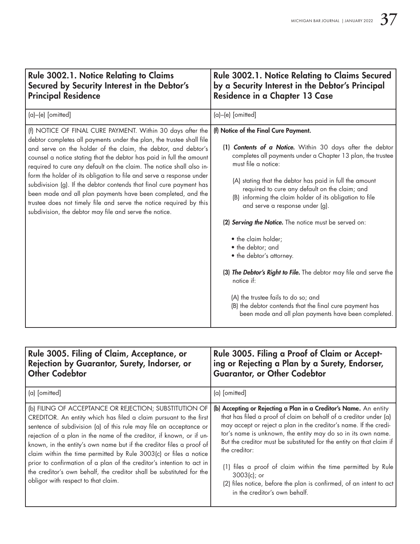| <b>Rule 3002.1. Notice Relating to Claims</b><br>Secured by Security Interest in the Debtor's<br><b>Principal Residence</b>                                                                                                                                                                                                                                                                                                                                                                                                                                                                                                                                                                         | <b>Rule 3002.1. Notice Relating to Claims Secured</b><br>by a Security Interest in the Debtor's Principal<br>Residence in a Chapter 13 Case                                                                                                                                                                                                                                                                                                                                                                                                                                                                                                                                                                                                                                        |
|-----------------------------------------------------------------------------------------------------------------------------------------------------------------------------------------------------------------------------------------------------------------------------------------------------------------------------------------------------------------------------------------------------------------------------------------------------------------------------------------------------------------------------------------------------------------------------------------------------------------------------------------------------------------------------------------------------|------------------------------------------------------------------------------------------------------------------------------------------------------------------------------------------------------------------------------------------------------------------------------------------------------------------------------------------------------------------------------------------------------------------------------------------------------------------------------------------------------------------------------------------------------------------------------------------------------------------------------------------------------------------------------------------------------------------------------------------------------------------------------------|
| (a)-(e) [omitted]                                                                                                                                                                                                                                                                                                                                                                                                                                                                                                                                                                                                                                                                                   | (a)-(e) [omitted]                                                                                                                                                                                                                                                                                                                                                                                                                                                                                                                                                                                                                                                                                                                                                                  |
| (f) NOTICE OF FINAL CURE PAYMENT. Within 30 days after the<br>debtor completes all payments under the plan, the trustee shall file<br>and serve on the holder of the claim, the debtor, and debtor's<br>counsel a notice stating that the debtor has paid in full the amount<br>required to cure any default on the claim. The notice shall also in-<br>form the holder of its obligation to file and serve a response under<br>subdivision (g). If the debtor contends that final cure payment has<br>been made and all plan payments have been completed, and the<br>trustee does not timely file and serve the notice required by this<br>subdivision, the debtor may file and serve the notice. | (f) Notice of the Final Cure Payment.<br>(1) Contents of a Notice. Within 30 days after the debtor<br>completes all payments under a Chapter 13 plan, the trustee<br>must file a notice:<br>(A) stating that the debtor has paid in full the amount<br>required to cure any default on the claim; and<br>(B) informing the claim holder of its obligation to file<br>and serve a response under (g).<br>(2) Serving the Notice. The notice must be served on:<br>• the claim holder;<br>• the debtor; and<br>• the debtor's attorney.<br>(3) The Debtor's Right to File. The debtor may file and serve the<br>notice if:<br>(A) the trustee fails to do so; and<br>(B) the debtor contends that the final cure payment has<br>been made and all plan payments have been completed. |

| Rule 3005. Filing of Claim, Acceptance, or<br>Rejection by Guarantor, Surety, Indorser, or<br><b>Other Codebtor</b>                                                                                                                                                                                                                                                                                                                                                                                                                                                                                            | Rule 3005. Filing a Proof of Claim or Accept-<br>ing or Rejecting a Plan by a Surety, Endorser,<br>Guarantor, or Other Codebtor                                                                                                                                                                                                                                                                                                                                                                                                                                |
|----------------------------------------------------------------------------------------------------------------------------------------------------------------------------------------------------------------------------------------------------------------------------------------------------------------------------------------------------------------------------------------------------------------------------------------------------------------------------------------------------------------------------------------------------------------------------------------------------------------|----------------------------------------------------------------------------------------------------------------------------------------------------------------------------------------------------------------------------------------------------------------------------------------------------------------------------------------------------------------------------------------------------------------------------------------------------------------------------------------------------------------------------------------------------------------|
| (a) [omitted]                                                                                                                                                                                                                                                                                                                                                                                                                                                                                                                                                                                                  | (a) [omitted]                                                                                                                                                                                                                                                                                                                                                                                                                                                                                                                                                  |
| (b) FILING OF ACCEPTANCE OR REJECTION; SUBSTITUTION OF<br>CREDITOR. An entity which has filed a claim pursuant to the first<br>sentence of subdivision (a) of this rule may file an acceptance or<br>rejection of a plan in the name of the creditor, if known, or if un-<br>known, in the entity's own name but if the creditor files a proof of<br>claim within the time permitted by Rule 3003(c) or files a notice<br>prior to confirmation of a plan of the creditor's intention to act in<br>the creditor's own behalf, the creditor shall be substituted for the<br>obligor with respect to that claim. | (b) Accepting or Rejecting a Plan in a Creditor's Name. An entity<br>that has filed a proof of claim on behalf of a creditor under (a)<br>may accept or reject a plan in the creditor's name. If the credi-<br>tor's name is unknown, the entity may do so in its own name.<br>But the creditor must be substituted for the entity on that claim if<br>the creditor:<br>(1) files a proof of claim within the time permitted by Rule<br>$3003(c)$ ; or<br>(2) files notice, before the plan is confirmed, of an intent to act<br>in the creditor's own behalf. |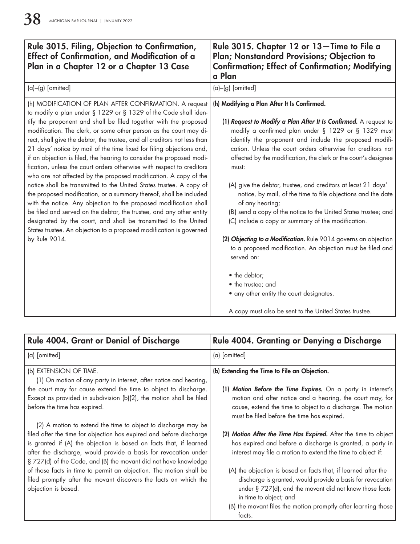| Rule 3015. Filing, Objection to Confirmation,<br><b>Effect of Confirmation, and Modification of a</b><br>Plan in a Chapter 12 or a Chapter 13 Case                                                                                                                                                                                                                                                                                                                                                                                                                                                                                                                                                                                                                                                                                                                                                                                                                                                                                                                                                 | Rule 3015. Chapter 12 or 13-Time to File a<br>Plan; Nonstandard Provisions; Objection to<br><b>Confirmation; Effect of Confirmation; Modifying</b><br>a Plan                                                                                                                                                                                                                                                                                                                                                                                                                                                                                                                                                                                                                                                                                                                                                                                          |
|----------------------------------------------------------------------------------------------------------------------------------------------------------------------------------------------------------------------------------------------------------------------------------------------------------------------------------------------------------------------------------------------------------------------------------------------------------------------------------------------------------------------------------------------------------------------------------------------------------------------------------------------------------------------------------------------------------------------------------------------------------------------------------------------------------------------------------------------------------------------------------------------------------------------------------------------------------------------------------------------------------------------------------------------------------------------------------------------------|-------------------------------------------------------------------------------------------------------------------------------------------------------------------------------------------------------------------------------------------------------------------------------------------------------------------------------------------------------------------------------------------------------------------------------------------------------------------------------------------------------------------------------------------------------------------------------------------------------------------------------------------------------------------------------------------------------------------------------------------------------------------------------------------------------------------------------------------------------------------------------------------------------------------------------------------------------|
| $(a) - (g)$ [omitted]                                                                                                                                                                                                                                                                                                                                                                                                                                                                                                                                                                                                                                                                                                                                                                                                                                                                                                                                                                                                                                                                              | $(a) - (g)$ [omitted]                                                                                                                                                                                                                                                                                                                                                                                                                                                                                                                                                                                                                                                                                                                                                                                                                                                                                                                                 |
| (h) MODIFICATION OF PLAN AFTER CONFIRMATION. A request<br>to modify a plan under § 1229 or § 1329 of the Code shall iden-<br>tify the proponent and shall be filed together with the proposed<br>modification. The clerk, or some other person as the court may di-<br>rect, shall give the debtor, the trustee, and all creditors not less than<br>21 days' notice by mail of the time fixed for filing objections and,<br>if an objection is filed, the hearing to consider the proposed modi-<br>fication, unless the court orders otherwise with respect to creditors<br>who are not affected by the proposed modification. A copy of the<br>notice shall be transmitted to the United States trustee. A copy of<br>the proposed modification, or a summary thereof, shall be included<br>with the notice. Any objection to the proposed modification shall<br>be filed and served on the debtor, the trustee, and any other entity<br>designated by the court, and shall be transmitted to the United<br>States trustee. An objection to a proposed modification is governed<br>by Rule 9014. | (h) Modifying a Plan After It Is Confirmed.<br>(1) Request to Modify a Plan After It Is Confirmed. A request to<br>modify a confirmed plan under § 1229 or § 1329 must<br>identify the proponent and include the proposed modifi-<br>cation. Unless the court orders otherwise for creditors not<br>affected by the modification, the clerk or the court's designee<br>must:<br>(A) give the debtor, trustee, and creditors at least 21 days'<br>notice, by mail, of the time to file objections and the date<br>of any hearing;<br>(B) send a copy of the notice to the United States trustee; and<br>(C) include a copy or summary of the modification.<br>(2) Objecting to a Modification. Rule 9014 governs an objection<br>to a proposed modification. An objection must be filed and<br>served on:<br>• the debtor;<br>• the trustee; and<br>• any other entity the court designates.<br>A copy must also be sent to the United States trustee. |

| <b>Rule 4004. Grant or Denial of Discharge</b>                                                                                                                                                                                                                                                                                                                                                                                                                                                                                                                                                                                                                                                                                                                                             | Rule 4004. Granting or Denying a Discharge                                                                                                                                                                                                                                                                                                                                                                                                                                                                                                                                                                                                                                       |
|--------------------------------------------------------------------------------------------------------------------------------------------------------------------------------------------------------------------------------------------------------------------------------------------------------------------------------------------------------------------------------------------------------------------------------------------------------------------------------------------------------------------------------------------------------------------------------------------------------------------------------------------------------------------------------------------------------------------------------------------------------------------------------------------|----------------------------------------------------------------------------------------------------------------------------------------------------------------------------------------------------------------------------------------------------------------------------------------------------------------------------------------------------------------------------------------------------------------------------------------------------------------------------------------------------------------------------------------------------------------------------------------------------------------------------------------------------------------------------------|
| (a) [omitted]                                                                                                                                                                                                                                                                                                                                                                                                                                                                                                                                                                                                                                                                                                                                                                              | (a) [omitted]                                                                                                                                                                                                                                                                                                                                                                                                                                                                                                                                                                                                                                                                    |
| (b) EXTENSION OF TIME.<br>(1) On motion of any party in interest, after notice and hearing,<br>the court may for cause extend the time to object to discharge.<br>Except as provided in subdivision (b)(2), the motion shall be filed<br>before the time has expired.<br>(2) A motion to extend the time to object to discharge may be<br>filed after the time for objection has expired and before discharge<br>is granted if (A) the objection is based on facts that, if learned<br>after the discharge, would provide a basis for revocation under<br>§ 727(d) of the Code, and (B) the movant did not have knowledge<br>of those facts in time to permit an objection. The motion shall be<br>filed promptly after the movant discovers the facts on which the<br>objection is based. | (b) Extending the Time to File an Objection.<br>(1) Motion Before the Time Expires. On a party in interest's<br>motion and after notice and a hearing, the court may, for<br>cause, extend the time to object to a discharge. The motion<br>must be filed before the time has expired.<br>(2) Motion After the Time Has Expired. After the time to object<br>has expired and before a discharge is granted, a party in<br>interest may file a motion to extend the time to object if:<br>(A) the objection is based on facts that, if learned after the<br>discharge is granted, would provide a basis for revocation<br>under § 727(d), and the movant did not know those facts |
|                                                                                                                                                                                                                                                                                                                                                                                                                                                                                                                                                                                                                                                                                                                                                                                            | in time to object; and<br>(B) the movant files the motion promptly after learning those<br>facts.                                                                                                                                                                                                                                                                                                                                                                                                                                                                                                                                                                                |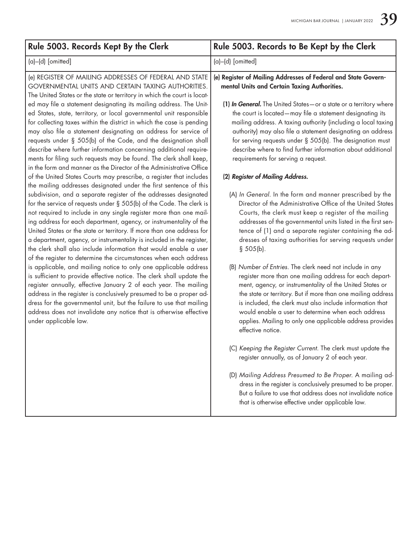| Rule 5003. Records Kept By the Clerk                                                                                                                                                                                                                                                                                                                                                                                                                                                                                                                                                                                                                                                                                                                                                                                                                                                                                                                                                                                                                                                                                                                                                                                                                                                                     | Rule 5003. Records to Be Kept by the Clerk                                                                                                                                                                                                                                                                                                                                                                                                                                                                                                                                                                                                                                                                                                                                                                                                                       |
|----------------------------------------------------------------------------------------------------------------------------------------------------------------------------------------------------------------------------------------------------------------------------------------------------------------------------------------------------------------------------------------------------------------------------------------------------------------------------------------------------------------------------------------------------------------------------------------------------------------------------------------------------------------------------------------------------------------------------------------------------------------------------------------------------------------------------------------------------------------------------------------------------------------------------------------------------------------------------------------------------------------------------------------------------------------------------------------------------------------------------------------------------------------------------------------------------------------------------------------------------------------------------------------------------------|------------------------------------------------------------------------------------------------------------------------------------------------------------------------------------------------------------------------------------------------------------------------------------------------------------------------------------------------------------------------------------------------------------------------------------------------------------------------------------------------------------------------------------------------------------------------------------------------------------------------------------------------------------------------------------------------------------------------------------------------------------------------------------------------------------------------------------------------------------------|
| (a)-(d) [omitted]                                                                                                                                                                                                                                                                                                                                                                                                                                                                                                                                                                                                                                                                                                                                                                                                                                                                                                                                                                                                                                                                                                                                                                                                                                                                                        | (a)-(d) [omitted]                                                                                                                                                                                                                                                                                                                                                                                                                                                                                                                                                                                                                                                                                                                                                                                                                                                |
| (e) REGISTER OF MAILING ADDRESSES OF FEDERAL AND STATE<br>GOVERNMENTAL UNITS AND CERTAIN TAXING AUTHORITIES.<br>The United States or the state or territory in which the court is locat-                                                                                                                                                                                                                                                                                                                                                                                                                                                                                                                                                                                                                                                                                                                                                                                                                                                                                                                                                                                                                                                                                                                 | (e) Register of Mailing Addresses of Federal and State Govern-<br>mental Units and Certain Taxing Authorities.                                                                                                                                                                                                                                                                                                                                                                                                                                                                                                                                                                                                                                                                                                                                                   |
| ed may file a statement designating its mailing address. The Unit-<br>ed States, state, territory, or local governmental unit responsible<br>for collecting taxes within the district in which the case is pending<br>may also file a statement designating an address for service of<br>requests under § 505(b) of the Code, and the designation shall<br>describe where further information concerning additional require-<br>ments for filing such requests may be found. The clerk shall keep,<br>in the form and manner as the Director of the Administrative Office<br>of the United States Courts may prescribe, a register that includes<br>the mailing addresses designated under the first sentence of this<br>subdivision, and a separate register of the addresses designated<br>for the service of requests under § 505(b) of the Code. The clerk is<br>not required to include in any single register more than one mail-<br>ing address for each department, agency, or instrumentality of the<br>United States or the state or territory. If more than one address for<br>a department, agency, or instrumentality is included in the register,<br>the clerk shall also include information that would enable a user<br>of the register to determine the circumstances when each address | (1) In General. The United States-or a state or a territory where<br>the court is located - may file a statement designating its<br>mailing address. A taxing authority (including a local taxing<br>authority) may also file a statement designating an address<br>for serving requests under § 505(b). The designation must<br>describe where to find further information about additional<br>requirements for serving a request.<br>(2) Register of Mailing Address.<br>(A) In General. In the form and manner prescribed by the<br>Director of the Administrative Office of the United States<br>Courts, the clerk must keep a register of the mailing<br>addresses of the governmental units listed in the first sen-<br>tence of (1) and a separate register containing the ad-<br>dresses of taxing authorities for serving requests under<br>$§$ 505(b). |
| is applicable, and mailing notice to only one applicable address<br>is sufficient to provide effective notice. The clerk shall update the<br>register annually, effective January 2 of each year. The mailing<br>address in the register is conclusively presumed to be a proper ad-<br>dress for the governmental unit, but the failure to use that mailing<br>address does not invalidate any notice that is otherwise effective<br>under applicable law.                                                                                                                                                                                                                                                                                                                                                                                                                                                                                                                                                                                                                                                                                                                                                                                                                                              | (B) Number of Entries. The clerk need not include in any<br>register more than one mailing address for each depart-<br>ment, agency, or instrumentality of the United States or<br>the state or territory. But if more than one mailing address<br>is included, the clerk must also include information that<br>would enable a user to determine when each address<br>applies. Mailing to only one applicable address provides<br>effective notice.<br>(C) Keeping the Register Current. The clerk must update the                                                                                                                                                                                                                                                                                                                                               |
|                                                                                                                                                                                                                                                                                                                                                                                                                                                                                                                                                                                                                                                                                                                                                                                                                                                                                                                                                                                                                                                                                                                                                                                                                                                                                                          | register annually, as of January 2 of each year.                                                                                                                                                                                                                                                                                                                                                                                                                                                                                                                                                                                                                                                                                                                                                                                                                 |

(D) *Mailing Address Presumed to Be Proper.* A mailing ad dress in the register is conclusively presumed to be proper. But a failure to use that address does not invalidate notice that is otherwise effective under applicable law.